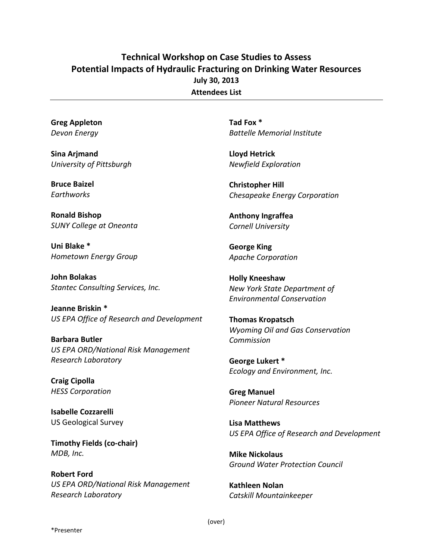## **Technical Workshop on Case Studies to Assess Potential Impacts of Hydraulic Fracturing on Drinking Water Resources July 30, 2013 Attendees List**

**Greg Appleton** *Devon Energy*

**Sina Arjmand** *University of Pittsburgh*

**Bruce Baizel** *Earthworks*

**Ronald Bishop** *SUNY College at Oneonta*

**Uni Blake \*** *Hometown Energy Group*

**John Bolakas** *Stantec Consulting Services, Inc.*

**Jeanne Briskin \*** *US EPA Office of Research and Development*

**Barbara Butler** *US EPA ORD/National Risk Management Research Laboratory*

**Craig Cipolla** *HESS Corporation*

**Isabelle Cozzarelli** US Geological Survey

**Timothy Fields (co-chair)** *MDB, Inc.*

**Robert Ford** *US EPA ORD/National Risk Management Research Laboratory*

**Tad Fox \*** *Battelle Memorial Institute*

**Lloyd Hetrick** *Newfield Exploration*

**Christopher Hill** *Chesapeake Energy Corporation* 

**Anthony Ingraffea** *Cornell University*

**George King** *Apache Corporation*

**Holly Kneeshaw** *New York State Department of Environmental Conservation*

**Thomas Kropatsch** *Wyoming Oil and Gas Conservation Commission*

**George Lukert \*** *Ecology and Environment, Inc.*

**Greg Manuel** *Pioneer Natural Resources*

**Lisa Matthews** *US EPA Office of Research and Development*

**Mike Nickolaus** *Ground Water Protection Council*

**Kathleen Nolan** *Catskill Mountainkeeper*